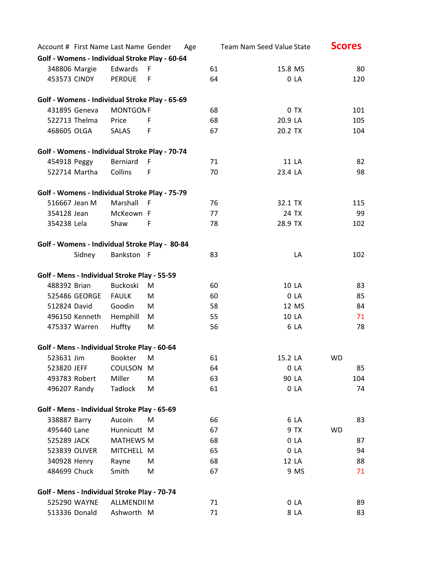| Account # First Name Last Name Gender          |                   |     | Age |    | Team Nam Seed Value State | <b>Scores</b> |
|------------------------------------------------|-------------------|-----|-----|----|---------------------------|---------------|
| Golf - Womens - Individual Stroke Play - 60-64 |                   |     |     |    |                           |               |
| 348806 Margie                                  | Edwards           | F   |     | 61 | 15.8 MS                   | 80            |
| 453573 CINDY                                   | <b>PERDUE</b>     | F   |     | 64 | 0 LA                      | 120           |
| Golf - Womens - Individual Stroke Play - 65-69 |                   |     |     |    |                           |               |
| 431895 Geneva                                  | <b>MONTGONF</b>   |     |     | 68 | 0 TX                      | 101           |
| 522713 Thelma                                  | Price             | F   |     | 68 | 20.9 LA                   | 105           |
| 468605 OLGA                                    | <b>SALAS</b>      | F   |     | 67 | 20.2 TX                   | 104           |
| Golf - Womens - Individual Stroke Play - 70-74 |                   |     |     |    |                           |               |
| 454918 Peggy                                   | Berniard          | F   |     | 71 | 11 LA                     | 82            |
| 522714 Martha                                  | Collins           | F   |     | 70 | 23.4 LA                   | 98            |
| Golf - Womens - Individual Stroke Play - 75-79 |                   |     |     |    |                           |               |
| 516667 Jean M                                  | Marshall          | - F |     | 76 | 32.1 TX                   | 115           |
| 354128 Jean                                    | McKeown F         |     |     | 77 | 24 TX                     | 99            |
| 354238 Lela                                    | Shaw              | F   |     | 78 | 28.9 TX                   | 102           |
| Golf - Womens - Individual Stroke Play - 80-84 |                   |     |     |    |                           |               |
| Sidney                                         | Bankston F        |     |     | 83 | LA                        | 102           |
|                                                |                   |     |     |    |                           |               |
| Golf - Mens - Individual Stroke Play - 55-59   |                   |     |     |    |                           |               |
| 488392 Brian                                   | <b>Buckoski</b>   | M   |     | 60 | 10 LA                     | 83            |
| 525486 GEORGE                                  | <b>FAULK</b>      | M   |     | 60 | 0 <sub>L</sub> A          | 85            |
| 512824 David                                   | Goodin            | M   |     | 58 | 12 MS                     | 84            |
| 496150 Kenneth                                 | Hemphill          | M   |     | 55 | 10 LA                     | 71            |
| 475337 Warren                                  | Huffty            | M   |     | 56 | 6 LA                      | 78            |
| Golf - Mens - Individual Stroke Play - 60-64   |                   |     |     |    |                           |               |
| 523631 Jim                                     | <b>Bookter</b>    | M   |     | 61 | 15.2 LA                   | WD            |
| 523820 JEFF                                    | <b>COULSON</b>    | M   |     | 64 | 0 <sub>L</sub> A          | 85            |
| 493783 Robert                                  | Miller            | M   |     | 63 | 90 LA                     | 104           |
| 496207 Randy                                   | Tadlock           | M   |     | 61 | 0 <sub>L</sub> A          | 74            |
| Golf - Mens - Individual Stroke Play - 65-69   |                   |     |     |    |                           |               |
| 338887 Barry                                   | Aucoin            | M   |     | 66 | 6 LA                      | 83            |
| 495440 Lane                                    | Hunnicutt M       |     |     | 67 | 9 TX                      | <b>WD</b>     |
| 525289 JACK                                    | <b>MATHEWS M</b>  |     |     | 68 | 0 <sub>L</sub> A          | 87            |
| 523839 OLIVER                                  | MITCHELL M        |     |     | 65 | 0 LA                      | 94            |
| 340928 Henry                                   | Rayne             | M   |     | 68 | 12 LA                     | 88            |
| 484699 Chuck                                   | Smith             | Μ   |     | 67 | 9 MS                      | 71            |
| Golf - Mens - Individual Stroke Play - 70-74   |                   |     |     |    |                           |               |
| 525290 WAYNE                                   | <b>ALLMENDIIM</b> |     |     | 71 | 0 <sub>L</sub> A          | 89            |
| 513336 Donald                                  | Ashworth M        |     |     | 71 | 8 LA                      | 83            |